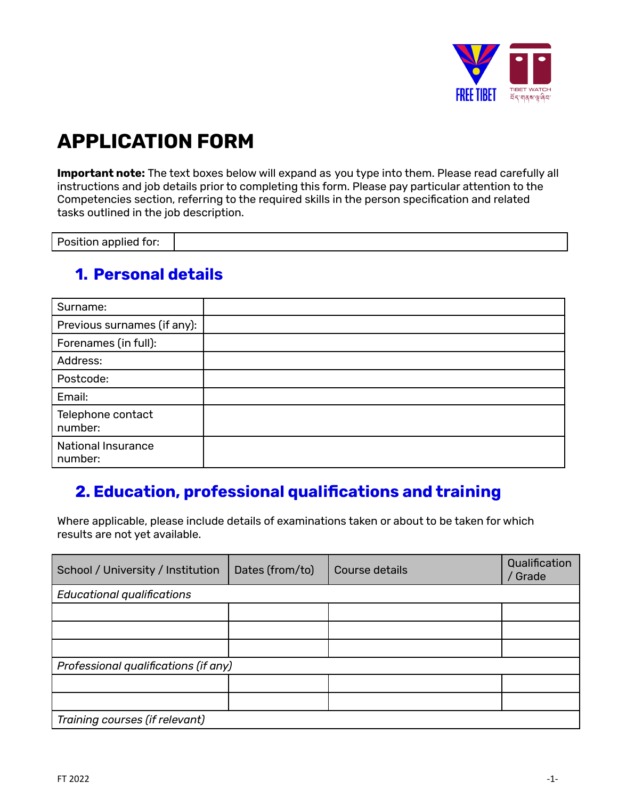

# **APPLICATION FORM**

**Important note:** The text boxes below will expand as you type into them. Please read carefully all instructions and job details prior to completing this form. Please pay particular attention to the Competencies section, referring to the required skills in the person specification and related tasks outlined in the job description.

Position applied for:

#### **1. Personal details**

| Surname:                             |  |
|--------------------------------------|--|
| Previous surnames (if any):          |  |
| Forenames (in full):                 |  |
| Address:                             |  |
| Postcode:                            |  |
| Email:                               |  |
| Telephone contact<br>number:         |  |
| <b>National Insurance</b><br>number: |  |

### **2. Education, professional qualifications and training**

Where applicable, please include details of examinations taken or about to be taken for which results are not yet available.

| School / University / Institution    | Dates (from/to) | Course details | Qualification<br>/ Grade |  |
|--------------------------------------|-----------------|----------------|--------------------------|--|
| <b>Educational qualifications</b>    |                 |                |                          |  |
|                                      |                 |                |                          |  |
|                                      |                 |                |                          |  |
|                                      |                 |                |                          |  |
| Professional qualifications (if any) |                 |                |                          |  |
|                                      |                 |                |                          |  |
|                                      |                 |                |                          |  |
| Training courses (if relevant)       |                 |                |                          |  |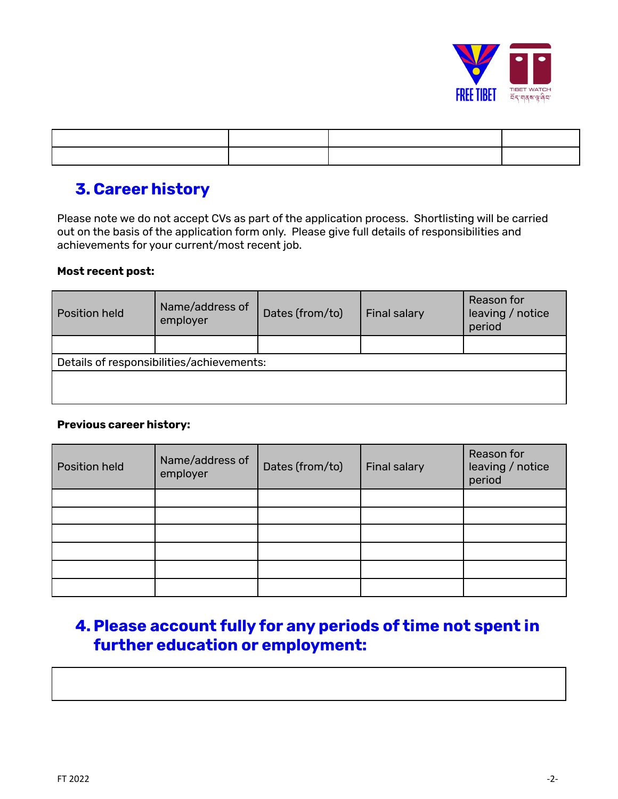

### **3. Career history**

Please note we do not accept CVs as part of the application process. Shortlisting will be carried out on the basis of the application form only. Please give full details of responsibilities and achievements for your current/most recent job.

#### **Most recent post:**

| <b>Position held</b>                      | Name/address of<br>employer | Dates (from/to) | <b>Final salary</b> | Reason for<br>leaving / notice<br>period |
|-------------------------------------------|-----------------------------|-----------------|---------------------|------------------------------------------|
|                                           |                             |                 |                     |                                          |
| Details of responsibilities/achievements: |                             |                 |                     |                                          |
|                                           |                             |                 |                     |                                          |
|                                           |                             |                 |                     |                                          |

#### **Previous career history:**

| Position held | Name/address of<br>employer | Dates (from/to) | <b>Final salary</b> | Reason for<br>leaving / notice<br>period |
|---------------|-----------------------------|-----------------|---------------------|------------------------------------------|
|               |                             |                 |                     |                                          |
|               |                             |                 |                     |                                          |
|               |                             |                 |                     |                                          |
|               |                             |                 |                     |                                          |
|               |                             |                 |                     |                                          |
|               |                             |                 |                     |                                          |

# **4.Please account fully for any periods of time not spent in further education or employment:**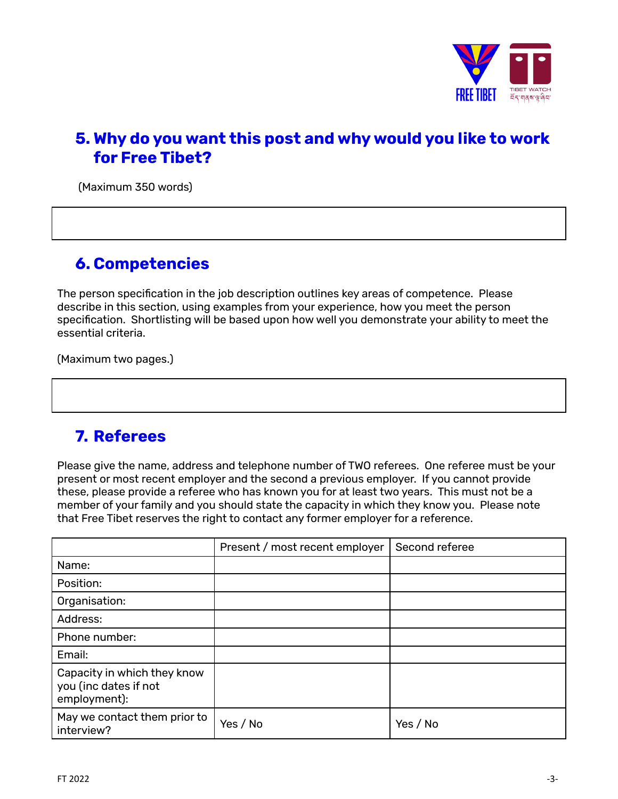

# **5. Why do you want this post and why would you like to work for Free Tibet?**

(Maximum 350 words)

#### **6. Competencies**

The person specification in the job description outlines key areas of competence. Please describe in this section, using examples from your experience, how you meet the person specification. Shortlisting will be based upon how well you demonstrate your ability to meet the essential criteria.

(Maximum two pages.)

### **7. Referees**

Please give the name, address and telephone number of TWO referees. One referee must be your present or most recent employer and the second a previous employer. If you cannot provide these, please provide a referee who has known you for at least two years. This must not be a member of your family and you should state the capacity in which they know you. Please note that Free Tibet reserves the right to contact any former employer for a reference.

|                                                                      | Present / most recent employer | Second referee |
|----------------------------------------------------------------------|--------------------------------|----------------|
| Name:                                                                |                                |                |
| Position:                                                            |                                |                |
| Organisation:                                                        |                                |                |
| Address:                                                             |                                |                |
| Phone number:                                                        |                                |                |
| Email:                                                               |                                |                |
| Capacity in which they know<br>you (inc dates if not<br>employment): |                                |                |
| May we contact them prior to<br>interview?                           | Yes / No                       | Yes / No       |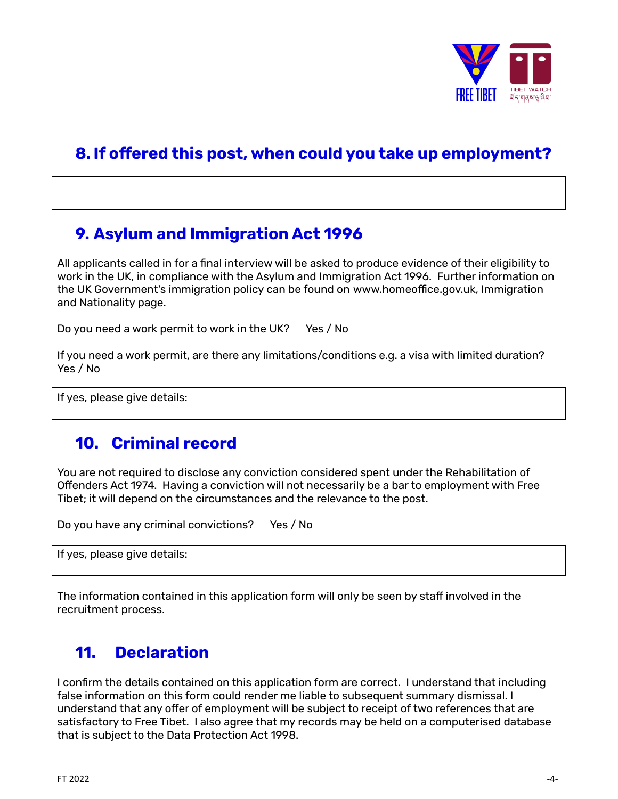

# **8. If offered this post, when could you take up employment?**

# **9. Asylum and Immigration Act 1996**

All applicants called in for a final interview will be asked to produce evidence of their eligibility to work in the UK, in compliance with the Asylum and Immigration Act 1996. Further information on the UK Government's immigration policy can be found on [www.homeoffice.gov.uk](http://www.homeoffice.gov.uk), Immigration and Nationality page.

Do you need a work permit to work in the UK? Yes / No

If you need a work permit, are there any limitations/conditions e.g. a visa with limited duration? Yes / No

If yes, please give details:

#### **10. Criminal record**

You are not required to disclose any conviction considered spent under the Rehabilitation of Offenders Act 1974. Having a conviction will not necessarily be a bar to employment with Free Tibet; it will depend on the circumstances and the relevance to the post.

Do you have any criminal convictions? Yes / No

If yes, please give details:

The information contained in this application form will only be seen by staff involved in the recruitment process.

#### **11. Declaration**

I confirm the details contained on this application form are correct. I understand that including false information on this form could render me liable to subsequent summary dismissal. I understand that any offer of employment will be subject to receipt of two references that are satisfactory to Free Tibet. I also agree that my records may be held on a computerised database that is subject to the Data Protection Act 1998.